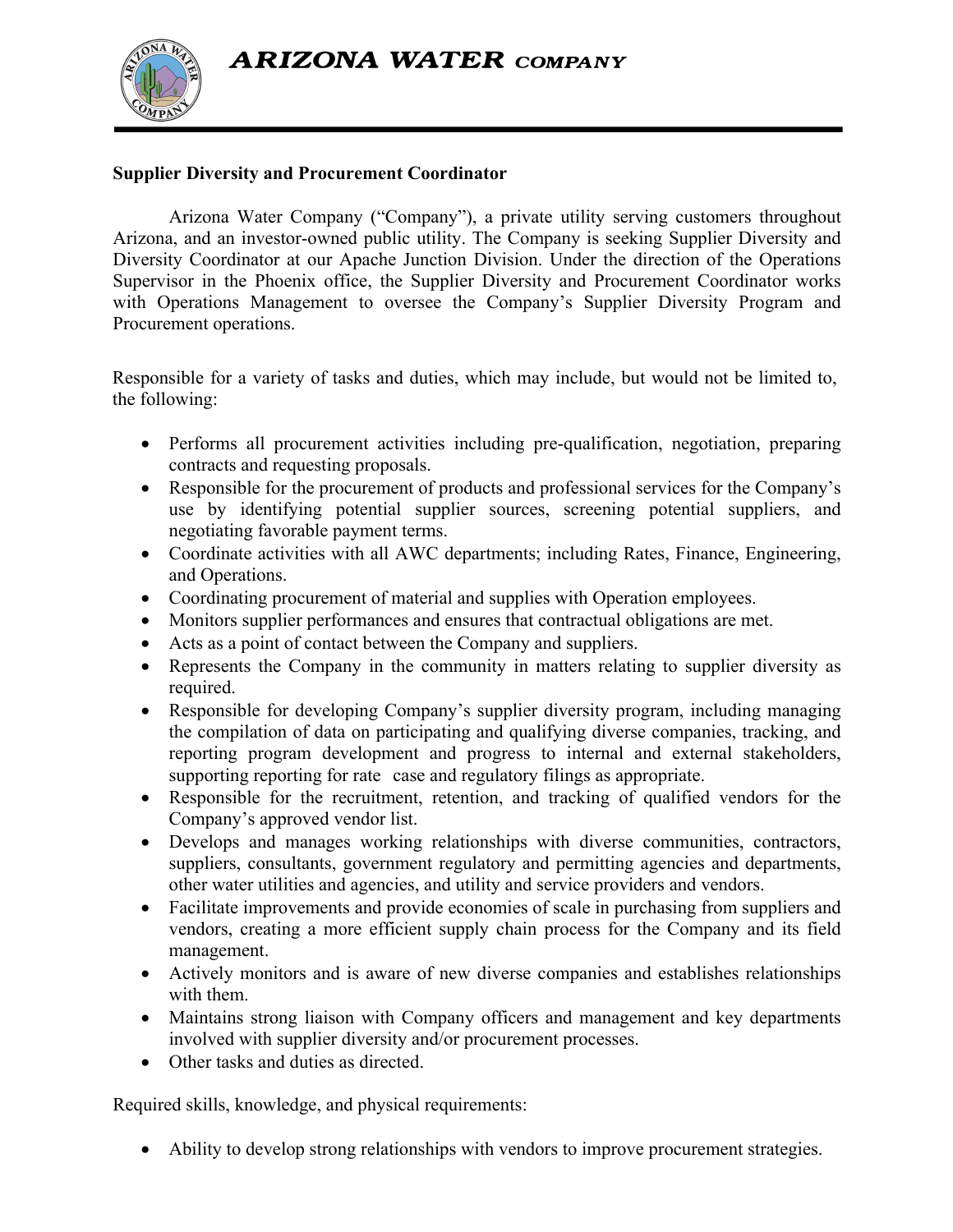**ARIZONA WATER COMPANY** 



## **Supplier Diversity and Procurement Coordinator**

Arizona Water Company ("Company"), a private utility serving customers throughout Arizona, and an investor-owned public utility. The Company is seeking Supplier Diversity and Diversity Coordinator at our Apache Junction Division. Under the direction of the Operations Supervisor in the Phoenix office, the Supplier Diversity and Procurement Coordinator works with Operations Management to oversee the Company's Supplier Diversity Program and Procurement operations.

Responsible for a variety of tasks and duties, which may include, but would not be limited to, the following:

- Performs all procurement activities including pre-qualification, negotiation, preparing contracts and requesting proposals.
- Responsible for the procurement of products and professional services for the Company's use by identifying potential supplier sources, screening potential suppliers, and negotiating favorable payment terms.
- Coordinate activities with all AWC departments; including Rates, Finance, Engineering, and Operations.
- Coordinating procurement of material and supplies with Operation employees.
- Monitors supplier performances and ensures that contractual obligations are met.
- Acts as a point of contact between the Company and suppliers.
- Represents the Company in the community in matters relating to supplier diversity as required.
- Responsible for developing Company's supplier diversity program, including managing the compilation of data on participating and qualifying diverse companies, tracking, and reporting program development and progress to internal and external stakeholders, supporting reporting for rate case and regulatory filings as appropriate.
- Responsible for the recruitment, retention, and tracking of qualified vendors for the Company's approved vendor list.
- Develops and manages working relationships with diverse communities, contractors, suppliers, consultants, government regulatory and permitting agencies and departments, other water utilities and agencies, and utility and service providers and vendors.
- Facilitate improvements and provide economies of scale in purchasing from suppliers and vendors, creating a more efficient supply chain process for the Company and its field management.
- Actively monitors and is aware of new diverse companies and establishes relationships with them.
- Maintains strong liaison with Company officers and management and key departments involved with supplier diversity and/or procurement processes.
- Other tasks and duties as directed.

Required skills, knowledge, and physical requirements:

• Ability to develop strong relationships with vendors to improve procurement strategies.